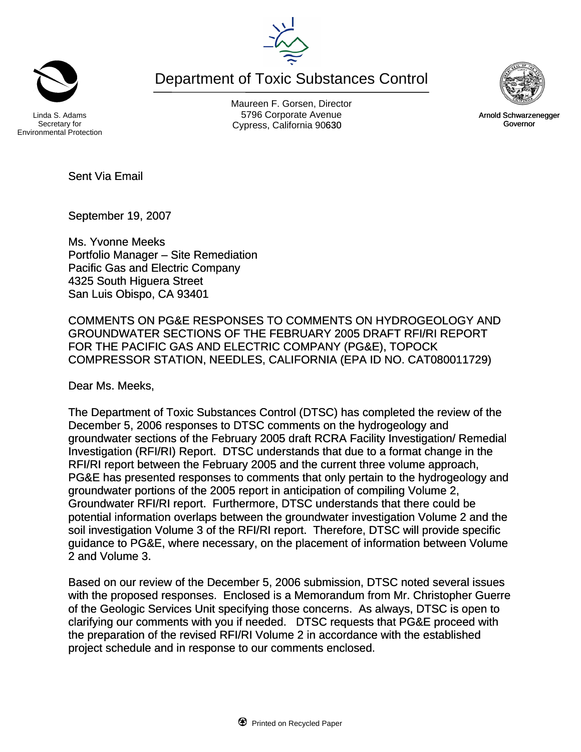Department of Toxic Substances Control

Secretary for Environmental Protection

Maureen F. Gorsen, Director Linda S. Adams **Example 20 Constructs** S796 Corporate Avenu Cypress, California 90630 Governor

September 19, 2007

Sent Via Email

Ms. Yvonne Meeks Portfolio Manager – Site Remediation Pacific Gas and Electric Company 4325 South Higuera Street San Luis Obispo, CA 93401

COMMENTS ON PG&E RESPONSES TO COMMENTS ON HYDROGEOLOGY AND GROUNDWATER SECTIONS OF THE FEBRUARY 2005 DRAFT RFI/RI REPORT FOR THE PACIFIC GAS AND ELECTRIC COMPANY (PG&E), TOPOCK COMPRESSOR STATION, NEEDLES, CALIFORNIA (EPA ID NO. CAT080011729)

Dear Ms. Meeks,

The Department of Toxic Substances Control (DTSC) has completed the review of the December 5, 2006 responses to DTSC comments on the hydrogeology and groundwater sections of the February 2005 draft RCRA Facility Investigation/ Remedial Investigation (RFI/RI) Report. DTSC understands that due to a format change in the RFI/RI report between the February 2005 and the current three volume approach, PG&E has presented responses to comments that only pertain to the hydrogeology and groundwater portions of the 2005 report in anticipation of compiling Volume 2, Groundwater RFI/RI report. Furthermore, DTSC understands that there could be potential information overlaps between the groundwater investigation Volume 2 and the soil investigation Volume 3 of the RFI/RI report. Therefore, DTSC will provide specific guidance to PG&E, where necessary, on the placement of information between Volume 2 and Volume 3.

Based on our review of the December 5, 2006 submission, DTSC noted several issues with the proposed responses. Enclosed is a Memorandum from Mr. Christopher Guerre of the Geologic Services Unit specifying those concerns. As always, DTSC is open to clarifying our comments with you if needed. DTSC requests that PG&E proceed with the preparation of the revised RFI/RI Volume 2 in accordance with the established project schedule and in response to our comments enclosed.





Arnold Schwarzenegger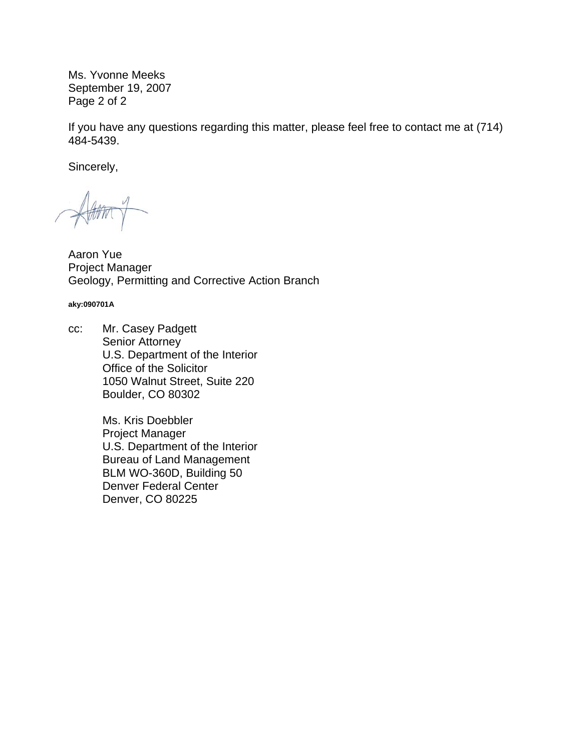Ms. Yvonne Meeks September 19, 2007 Page 2 of 2

If you have any questions regarding this matter, please feel free to contact me at (714) 484-5439.

Sincerely,

Aaron Yue Project Manager Geology, Permitting and Corrective Action Branch

**aky:090701A** 

cc: Mr. Casey Padgett Senior Attorney U.S. Department of the Interior Office of the Solicitor 1050 Walnut Street, Suite 220 Boulder, CO 80302

> Ms. Kris Doebbler Project Manager U.S. Department of the Interior Bureau of Land Management BLM WO-360D, Building 50 Denver Federal Center Denver, CO 80225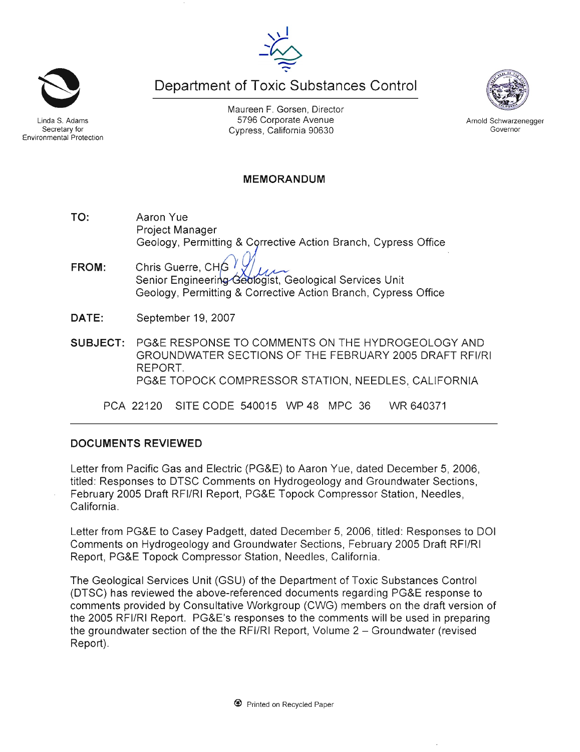Maureen F. Gorsen, Director 5796 Corporate Avenue Cypress, California 90630

Department of Toxic Substances Control

**MEMORANDUM** 

Geology, Permitting & Corrective Action Branch, Cypress Office FROM: Chris Guerre, CHG Senior Engineering Geologist, Geological Services Unit Geology, Permitting & Corrective Action Branch, Cypress Office DATE: September 19, 2007 PG&E RESPONSE TO COMMENTS ON THE HYDROGEOLOGY AND **SUBJECT:** GROUNDWATER SECTIONS OF THE FEBRUARY 2005 DRAFT RFI/RI REPORT. PG&E TOPOCK COMPRESSOR STATION, NEEDLES, CALIFORNIA

SITE CODE 540015 WP 48 MPC 36 PCA 22120 WR 640371

### **DOCUMENTS REVIEWED**

Aaron Yue

**Project Manager** 

Letter from Pacific Gas and Electric (PG&E) to Aaron Yue, dated December 5, 2006, titled: Responses to DTSC Comments on Hydrogeology and Groundwater Sections, February 2005 Draft RFI/RI Report, PG&E Topock Compressor Station, Needles, California.

Letter from PG&E to Casey Padgett, dated December 5, 2006, titled: Responses to DOI Comments on Hydrogeology and Groundwater Sections, February 2005 Draft RFI/RI Report, PG&E Topock Compressor Station, Needles, California.

The Geological Services Unit (GSU) of the Department of Toxic Substances Control (DTSC) has reviewed the above-referenced documents regarding PG&E response to comments provided by Consultative Workgroup (CWG) members on the draft version of the 2005 RFI/RI Report. PG&E's responses to the comments will be used in preparing the groundwater section of the the RFI/RI Report, Volume 2 – Groundwater (revised Report).



Secretary for

**Environmental Protection** 

TO:



Arnold Schwarzenegger

Governor

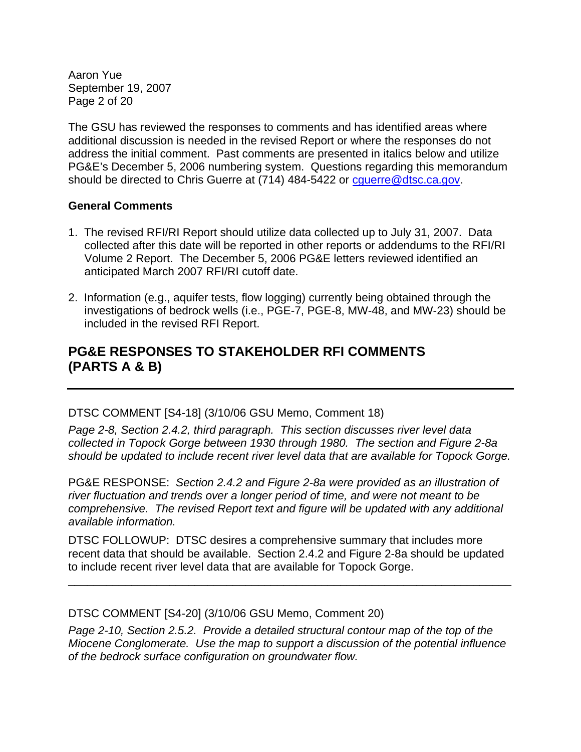Aaron Yue September 19, 2007 Page 2 of 20

The GSU has reviewed the responses to comments and has identified areas where additional discussion is needed in the revised Report or where the responses do not address the initial comment. Past comments are presented in italics below and utilize PG&E's December 5, 2006 numbering system. Questions regarding this memorandum should be directed to Chris Guerre at (714) 484-5422 or cquerre@dtsc.ca.gov.

### **General Comments**

- 1. The revised RFI/RI Report should utilize data collected up to July 31, 2007. Data collected after this date will be reported in other reports or addendums to the RFI/RI Volume 2 Report. The December 5, 2006 PG&E letters reviewed identified an anticipated March 2007 RFI/RI cutoff date.
- 2. Information (e.g., aquifer tests, flow logging) currently being obtained through the investigations of bedrock wells (i.e., PGE-7, PGE-8, MW-48, and MW-23) should be included in the revised RFI Report.

# **PG&E RESPONSES TO STAKEHOLDER RFI COMMENTS (PARTS A & B)**

### DTSC COMMENT [S4-18] (3/10/06 GSU Memo, Comment 18)

*Page 2-8, Section 2.4.2, third paragraph. This section discusses river level data collected in Topock Gorge between 1930 through 1980. The section and Figure 2-8a should be updated to include recent river level data that are available for Topock Gorge.* 

PG&E RESPONSE: *Section 2.4.2 and Figure 2-8a were provided as an illustration of river fluctuation and trends over a longer period of time, and were not meant to be comprehensive. The revised Report text and figure will be updated with any additional available information.*

DTSC FOLLOWUP: DTSC desires a comprehensive summary that includes more recent data that should be available. Section 2.4.2 and Figure 2-8a should be updated to include recent river level data that are available for Topock Gorge.

\_\_\_\_\_\_\_\_\_\_\_\_\_\_\_\_\_\_\_\_\_\_\_\_\_\_\_\_\_\_\_\_\_\_\_\_\_\_\_\_\_\_\_\_\_\_\_\_\_\_\_\_\_\_\_\_\_\_\_\_\_\_\_\_\_\_\_\_\_\_

DTSC COMMENT [S4-20] (3/10/06 GSU Memo, Comment 20)

*Page 2-10, Section 2.5.2. Provide a detailed structural contour map of the top of the Miocene Conglomerate. Use the map to support a discussion of the potential influence of the bedrock surface configuration on groundwater flow.*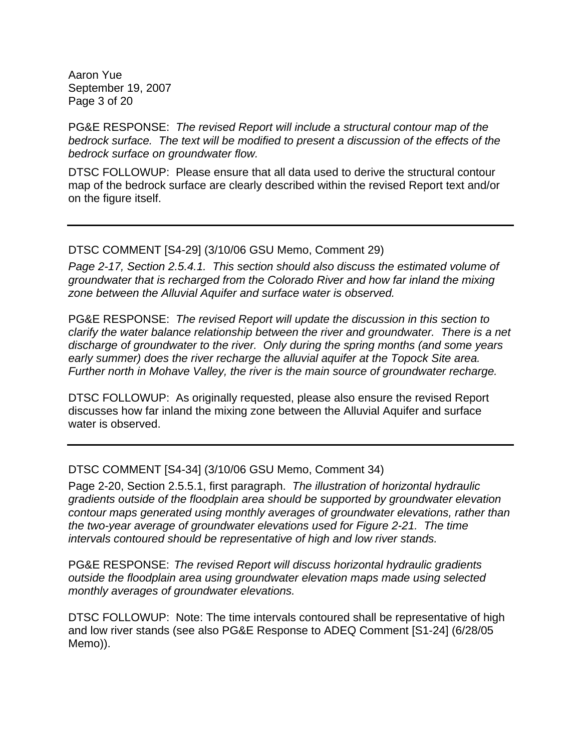Aaron Yue September 19, 2007 Page 3 of 20

PG&E RESPONSE: *The revised Report will include a structural contour map of the bedrock surface. The text will be modified to present a discussion of the effects of the bedrock surface on groundwater flow.* 

DTSC FOLLOWUP: Please ensure that all data used to derive the structural contour map of the bedrock surface are clearly described within the revised Report text and/or on the figure itself.

#### DTSC COMMENT [S4-29] (3/10/06 GSU Memo, Comment 29)

*Page 2-17, Section 2.5.4.1. This section should also discuss the estimated volume of groundwater that is recharged from the Colorado River and how far inland the mixing zone between the Alluvial Aquifer and surface water is observed.* 

PG&E RESPONSE: *The revised Report will update the discussion in this section to clarify the water balance relationship between the river and groundwater. There is a net discharge of groundwater to the river. Only during the spring months (and some years early summer) does the river recharge the alluvial aquifer at the Topock Site area. Further north in Mohave Valley, the river is the main source of groundwater recharge.* 

DTSC FOLLOWUP: As originally requested, please also ensure the revised Report discusses how far inland the mixing zone between the Alluvial Aquifer and surface water is observed.

### DTSC COMMENT [S4-34] (3/10/06 GSU Memo, Comment 34)

Page 2-20, Section 2.5.5.1, first paragraph. *The illustration of horizontal hydraulic gradients outside of the floodplain area should be supported by groundwater elevation contour maps generated using monthly averages of groundwater elevations, rather than the two-year average of groundwater elevations used for Figure 2-21. The time intervals contoured should be representative of high and low river stands.* 

PG&E RESPONSE: *The revised Report will discuss horizontal hydraulic gradients outside the floodplain area using groundwater elevation maps made using selected monthly averages of groundwater elevations.* 

DTSC FOLLOWUP: Note: The time intervals contoured shall be representative of high and low river stands (see also PG&E Response to ADEQ Comment [S1-24] (6/28/05 Memo)).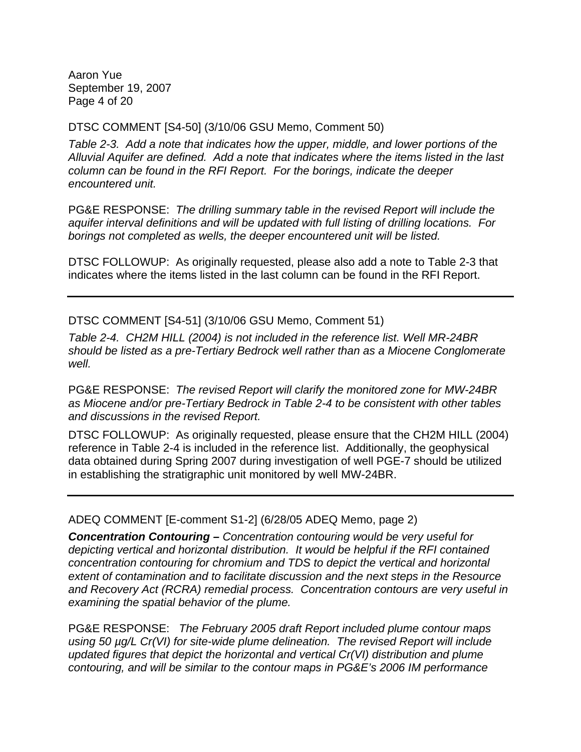Aaron Yue September 19, 2007 Page 4 of 20

DTSC COMMENT [S4-50] (3/10/06 GSU Memo, Comment 50)

*Table 2-3. Add a note that indicates how the upper, middle, and lower portions of the Alluvial Aquifer are defined. Add a note that indicates where the items listed in the last column can be found in the RFI Report. For the borings, indicate the deeper encountered unit.* 

PG&E RESPONSE: *The drilling summary table in the revised Report will include the aquifer interval definitions and will be updated with full listing of drilling locations. For borings not completed as wells, the deeper encountered unit will be listed.*

DTSC FOLLOWUP: As originally requested, please also add a note to Table 2-3 that indicates where the items listed in the last column can be found in the RFI Report.

DTSC COMMENT [S4-51] (3/10/06 GSU Memo, Comment 51)

*Table 2-4. CH2M HILL (2004) is not included in the reference list. Well MR-24BR should be listed as a pre-Tertiary Bedrock well rather than as a Miocene Conglomerate well.* 

PG&E RESPONSE: *The revised Report will clarify the monitored zone for MW-24BR as Miocene and/or pre-Tertiary Bedrock in Table 2-4 to be consistent with other tables and discussions in the revised Report.* 

DTSC FOLLOWUP: As originally requested, please ensure that the CH2M HILL (2004) reference in Table 2-4 is included in the reference list. Additionally, the geophysical data obtained during Spring 2007 during investigation of well PGE-7 should be utilized in establishing the stratigraphic unit monitored by well MW-24BR.

ADEQ COMMENT [E-comment S1-2] (6/28/05 ADEQ Memo, page 2)

*Concentration Contouring – Concentration contouring would be very useful for depicting vertical and horizontal distribution. It would be helpful if the RFI contained concentration contouring for chromium and TDS to depict the vertical and horizontal extent of contamination and to facilitate discussion and the next steps in the Resource and Recovery Act (RCRA) remedial process. Concentration contours are very useful in examining the spatial behavior of the plume.* 

PG&E RESPONSE: *The February 2005 draft Report included plume contour maps using 50 µg/L Cr(VI) for site-wide plume delineation. The revised Report will include updated figures that depict the horizontal and vertical Cr(VI) distribution and plume contouring, and will be similar to the contour maps in PG&E's 2006 IM performance*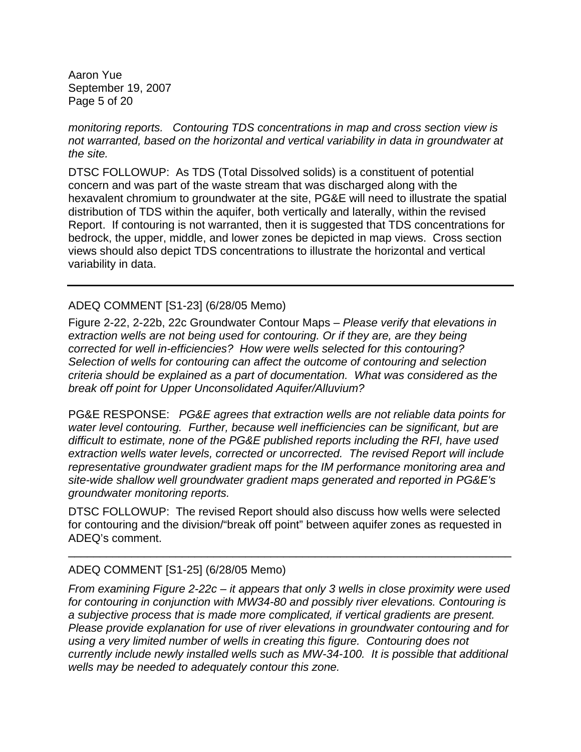Aaron Yue September 19, 2007 Page 5 of 20

*monitoring reports. Contouring TDS concentrations in map and cross section view is not warranted, based on the horizontal and vertical variability in data in groundwater at the site.* 

DTSC FOLLOWUP: As TDS (Total Dissolved solids) is a constituent of potential concern and was part of the waste stream that was discharged along with the hexavalent chromium to groundwater at the site, PG&E will need to illustrate the spatial distribution of TDS within the aquifer, both vertically and laterally, within the revised Report. If contouring is not warranted, then it is suggested that TDS concentrations for bedrock, the upper, middle, and lower zones be depicted in map views. Cross section views should also depict TDS concentrations to illustrate the horizontal and vertical variability in data.

### ADEQ COMMENT [S1-23] (6/28/05 Memo)

Figure 2-22, 2-22b, 22c Groundwater Contour Maps – *Please verify that elevations in*  extraction wells are not being used for contouring. Or if they are, are they being *corrected for well in-efficiencies? How were wells selected for this contouring? Selection of wells for contouring can affect the outcome of contouring and selection criteria should be explained as a part of documentation. What was considered as the break off point for Upper Unconsolidated Aquifer/Alluvium?*

PG&E RESPONSE: *PG&E agrees that extraction wells are not reliable data points for water level contouring. Further, because well inefficiencies can be significant, but are difficult to estimate, none of the PG&E published reports including the RFI, have used extraction wells water levels, corrected or uncorrected. The revised Report will include representative groundwater gradient maps for the IM performance monitoring area and site-wide shallow well groundwater gradient maps generated and reported in PG&E's groundwater monitoring reports.* 

DTSC FOLLOWUP: The revised Report should also discuss how wells were selected for contouring and the division/"break off point" between aquifer zones as requested in ADEQ's comment.

 $\_$  , and the set of the set of the set of the set of the set of the set of the set of the set of the set of the set of the set of the set of the set of the set of the set of the set of the set of the set of the set of th

## ADEQ COMMENT [S1-25] (6/28/05 Memo)

*From examining Figure 2-22c – it appears that only 3 wells in close proximity were used for contouring in conjunction with MW34-80 and possibly river elevations. Contouring is a subjective process that is made more complicated, if vertical gradients are present. Please provide explanation for use of river elevations in groundwater contouring and for using a very limited number of wells in creating this figure. Contouring does not currently include newly installed wells such as MW-34-100. It is possible that additional wells may be needed to adequately contour this zone.*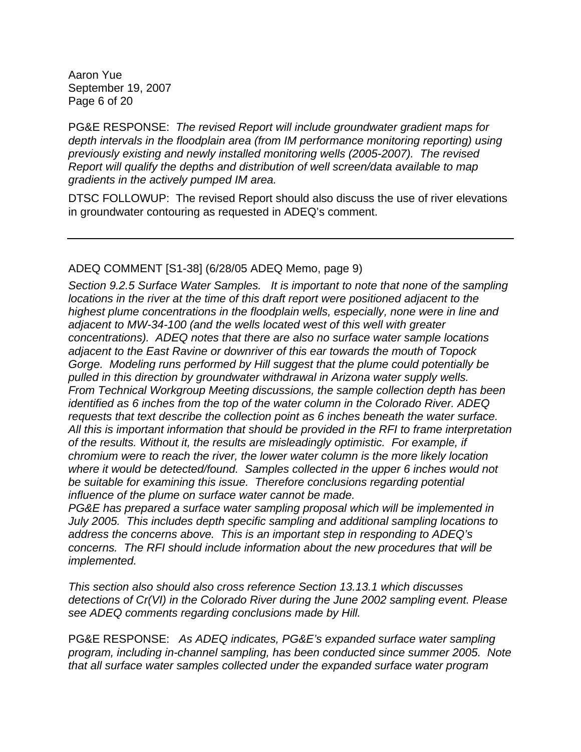Aaron Yue September 19, 2007 Page 6 of 20

PG&E RESPONSE: *The revised Report will include groundwater gradient maps for depth intervals in the floodplain area (from IM performance monitoring reporting) using previously existing and newly installed monitoring wells (2005-2007). The revised Report will qualify the depths and distribution of well screen/data available to map gradients in the actively pumped IM area.*

DTSC FOLLOWUP: The revised Report should also discuss the use of river elevations in groundwater contouring as requested in ADEQ's comment.

## ADEQ COMMENT [S1-38] (6/28/05 ADEQ Memo, page 9)

*Section 9.2.5 Surface Water Samples. It is important to note that none of the sampling locations in the river at the time of this draft report were positioned adjacent to the highest plume concentrations in the floodplain wells, especially, none were in line and adjacent to MW-34-100 (and the wells located west of this well with greater concentrations). ADEQ notes that there are also no surface water sample locations adjacent to the East Ravine or downriver of this ear towards the mouth of Topock Gorge. Modeling runs performed by Hill suggest that the plume could potentially be pulled in this direction by groundwater withdrawal in Arizona water supply wells. From Technical Workgroup Meeting discussions, the sample collection depth has been identified as 6 inches from the top of the water column in the Colorado River. ADEQ requests that text describe the collection point as 6 inches beneath the water surface. All this is important information that should be provided in the RFI to frame interpretation of the results. Without it, the results are misleadingly optimistic. For example, if chromium were to reach the river, the lower water column is the more likely location where it would be detected/found. Samples collected in the upper 6 inches would not be suitable for examining this issue. Therefore conclusions regarding potential influence of the plume on surface water cannot be made.* 

*PG&E has prepared a surface water sampling proposal which will be implemented in July 2005. This includes depth specific sampling and additional sampling locations to address the concerns above. This is an important step in responding to ADEQ's concerns. The RFI should include information about the new procedures that will be implemented.* 

*This section also should also cross reference Section 13.13.1 which discusses detections of Cr(VI) in the Colorado River during the June 2002 sampling event. Please see ADEQ comments regarding conclusions made by Hill.* 

PG&E RESPONSE: *As ADEQ indicates, PG&E's expanded surface water sampling program, including in-channel sampling, has been conducted since summer 2005. Note that all surface water samples collected under the expanded surface water program*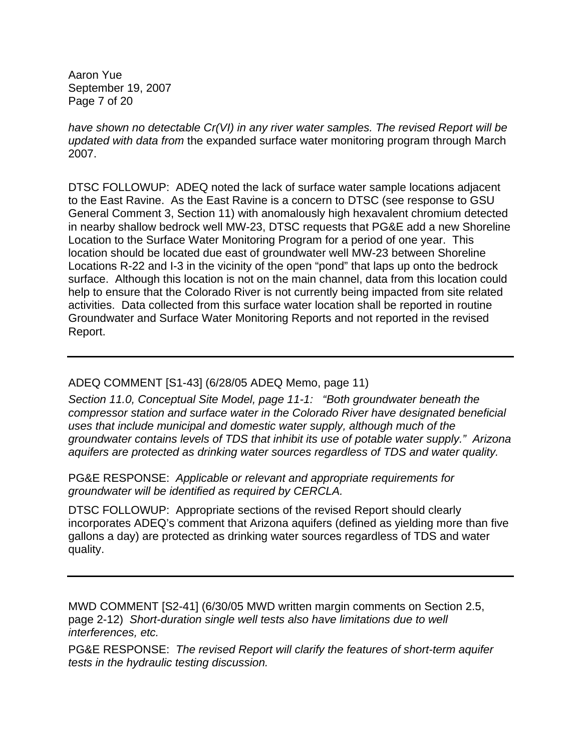Aaron Yue September 19, 2007 Page 7 of 20

*have shown no detectable Cr(VI) in any river water samples. The revised Report will be updated with data from* the expanded surface water monitoring program through March 2007.

DTSC FOLLOWUP: ADEQ noted the lack of surface water sample locations adjacent to the East Ravine. As the East Ravine is a concern to DTSC (see response to GSU General Comment 3, Section 11) with anomalously high hexavalent chromium detected in nearby shallow bedrock well MW-23, DTSC requests that PG&E add a new Shoreline Location to the Surface Water Monitoring Program for a period of one year. This location should be located due east of groundwater well MW-23 between Shoreline Locations R-22 and I-3 in the vicinity of the open "pond" that laps up onto the bedrock surface. Although this location is not on the main channel, data from this location could help to ensure that the Colorado River is not currently being impacted from site related activities. Data collected from this surface water location shall be reported in routine Groundwater and Surface Water Monitoring Reports and not reported in the revised Report.

### ADEQ COMMENT [S1-43] (6/28/05 ADEQ Memo, page 11)

*Section 11.0, Conceptual Site Model, page 11-1: "Both groundwater beneath the compressor station and surface water in the Colorado River have designated beneficial uses that include municipal and domestic water supply, although much of the groundwater contains levels of TDS that inhibit its use of potable water supply." Arizona aquifers are protected as drinking water sources regardless of TDS and water quality.* 

PG&E RESPONSE: *Applicable or relevant and appropriate requirements for groundwater will be identified as required by CERCLA.* 

DTSC FOLLOWUP: Appropriate sections of the revised Report should clearly incorporates ADEQ's comment that Arizona aquifers (defined as yielding more than five gallons a day) are protected as drinking water sources regardless of TDS and water quality.

MWD COMMENT [S2-41] (6/30/05 MWD written margin comments on Section 2.5, page 2-12) *Short-duration single well tests also have limitations due to well interferences, etc.* 

PG&E RESPONSE: *The revised Report will clarify the features of short-term aquifer tests in the hydraulic testing discussion.*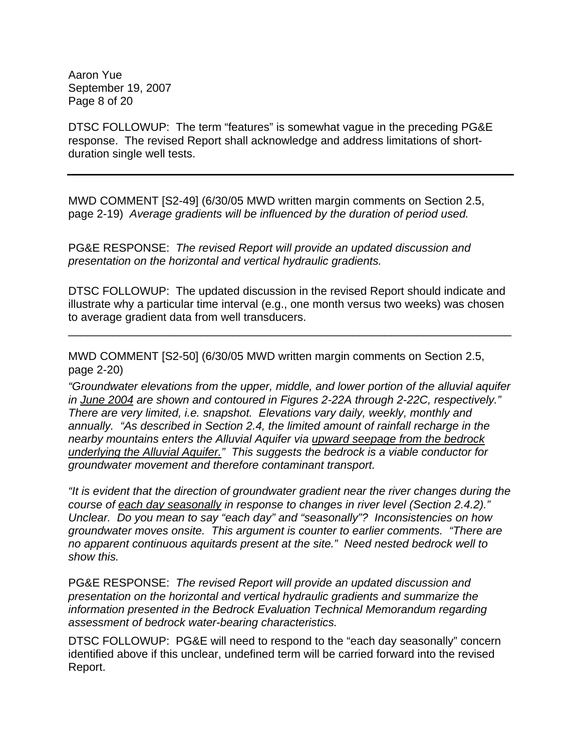Aaron Yue September 19, 2007 Page 8 of 20

DTSC FOLLOWUP: The term "features" is somewhat vague in the preceding PG&E response. The revised Report shall acknowledge and address limitations of shortduration single well tests.

MWD COMMENT [S2-49] (6/30/05 MWD written margin comments on Section 2.5, page 2-19) *Average gradients will be influenced by the duration of period used.* 

PG&E RESPONSE: *The revised Report will provide an updated discussion and presentation on the horizontal and vertical hydraulic gradients.* 

DTSC FOLLOWUP: The updated discussion in the revised Report should indicate and illustrate why a particular time interval (e.g., one month versus two weeks) was chosen to average gradient data from well transducers.

\_\_\_\_\_\_\_\_\_\_\_\_\_\_\_\_\_\_\_\_\_\_\_\_\_\_\_\_\_\_\_\_\_\_\_\_\_\_\_\_\_\_\_\_\_\_\_\_\_\_\_\_\_\_\_\_\_\_\_\_\_\_\_\_\_\_\_\_\_\_

MWD COMMENT [S2-50] (6/30/05 MWD written margin comments on Section 2.5, page 2-20)

*"Groundwater elevations from the upper, middle, and lower portion of the alluvial aquifer in June 2004 are shown and contoured in Figures 2-22A through 2-22C, respectively." There are very limited, i.e. snapshot. Elevations vary daily, weekly, monthly and annually. "As described in Section 2.4, the limited amount of rainfall recharge in the nearby mountains enters the Alluvial Aquifer via upward seepage from the bedrock underlying the Alluvial Aquifer." This suggests the bedrock is a viable conductor for groundwater movement and therefore contaminant transport.* 

*"It is evident that the direction of groundwater gradient near the river changes during the course of each day seasonally in response to changes in river level (Section 2.4.2)." Unclear. Do you mean to say "each day" and "seasonally"? Inconsistencies on how groundwater moves onsite. This argument is counter to earlier comments. "There are no apparent continuous aquitards present at the site." Need nested bedrock well to show this.* 

PG&E RESPONSE: *The revised Report will provide an updated discussion and presentation on the horizontal and vertical hydraulic gradients and summarize the information presented in the Bedrock Evaluation Technical Memorandum regarding assessment of bedrock water-bearing characteristics.*

DTSC FOLLOWUP: PG&E will need to respond to the "each day seasonally" concern identified above if this unclear, undefined term will be carried forward into the revised Report.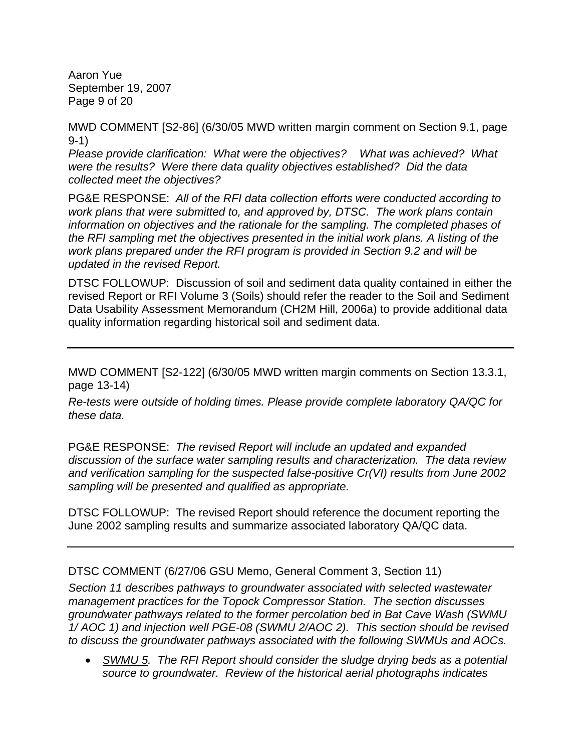Aaron Yue September 19, 2007 Page 9 of 20

MWD COMMENT [S2-86] (6/30/05 MWD written margin comment on Section 9.1, page 9-1)

*Please provide clarification: What were the objectives? What was achieved? What were the results? Were there data quality objectives established? Did the data collected meet the objectives?* 

PG&E RESPONSE: *All of the RFI data collection efforts were conducted according to work plans that were submitted to, and approved by, DTSC. The work plans contain information on objectives and the rationale for the sampling. The completed phases of the RFI sampling met the objectives presented in the initial work plans. A listing of the work plans prepared under the RFI program is provided in Section 9.2 and will be updated in the revised Report.* 

DTSC FOLLOWUP: Discussion of soil and sediment data quality contained in either the revised Report or RFI Volume 3 (Soils) should refer the reader to the Soil and Sediment Data Usability Assessment Memorandum (CH2M Hill, 2006a) to provide additional data quality information regarding historical soil and sediment data.

MWD COMMENT [S2-122] (6/30/05 MWD written margin comments on Section 13.3.1, page 13-14)

*Re-tests were outside of holding times. Please provide complete laboratory QA/QC for these data.* 

PG&E RESPONSE: *The revised Report will include an updated and expanded discussion of the surface water sampling results and characterization. The data review and verification sampling for the suspected false-positive Cr(VI) results from June 2002 sampling will be presented and qualified as appropriate.* 

DTSC FOLLOWUP: The revised Report should reference the document reporting the June 2002 sampling results and summarize associated laboratory QA/QC data.

DTSC COMMENT (6/27/06 GSU Memo, General Comment 3, Section 11)

*Section 11 describes pathways to groundwater associated with selected wastewater management practices for the Topock Compressor Station. The section discusses groundwater pathways related to the former percolation bed in Bat Cave Wash (SWMU 1/ AOC 1) and injection well PGE-08 (SWMU 2/AOC 2). This section should be revised to discuss the groundwater pathways associated with the following SWMUs and AOCs.* 

• *SWMU 5. The RFI Report should consider the sludge drying beds as a potential source to groundwater. Review of the historical aerial photographs indicates*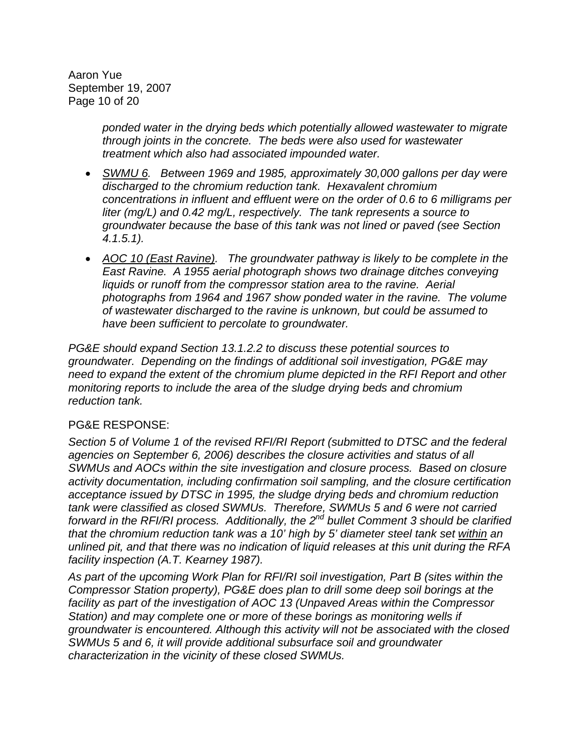Aaron Yue September 19, 2007 Page 10 of 20

> *ponded water in the drying beds which potentially allowed wastewater to migrate through joints in the concrete. The beds were also used for wastewater treatment which also had associated impounded water.*

- *SWMU 6. Between 1969 and 1985, approximately 30,000 gallons per day were discharged to the chromium reduction tank. Hexavalent chromium concentrations in influent and effluent were on the order of 0.6 to 6 milligrams per liter (mg/L) and 0.42 mg/L, respectively. The tank represents a source to groundwater because the base of this tank was not lined or paved (see Section 4.1.5.1).*
- *AOC 10 (East Ravine). The groundwater pathway is likely to be complete in the East Ravine. A 1955 aerial photograph shows two drainage ditches conveying liquids or runoff from the compressor station area to the ravine. Aerial photographs from 1964 and 1967 show ponded water in the ravine. The volume of wastewater discharged to the ravine is unknown, but could be assumed to have been sufficient to percolate to groundwater.*

*PG&E should expand Section 13.1.2.2 to discuss these potential sources to groundwater. Depending on the findings of additional soil investigation, PG&E may need to expand the extent of the chromium plume depicted in the RFI Report and other monitoring reports to include the area of the sludge drying beds and chromium reduction tank.* 

#### PG&E RESPONSE:

*Section 5 of Volume 1 of the revised RFI/RI Report (submitted to DTSC and the federal agencies on September 6, 2006) describes the closure activities and status of all SWMUs and AOCs within the site investigation and closure process. Based on closure activity documentation, including confirmation soil sampling, and the closure certification acceptance issued by DTSC in 1995, the sludge drying beds and chromium reduction tank were classified as closed SWMUs. Therefore, SWMUs 5 and 6 were not carried*  forward in the RFI/RI process. Additionally, the 2<sup>nd</sup> bullet Comment 3 should be clarified *that the chromium reduction tank was a 10' high by 5' diameter steel tank set within an unlined pit, and that there was no indication of liquid releases at this unit during the RFA facility inspection (A.T. Kearney 1987).* 

*As part of the upcoming Work Plan for RFI/RI soil investigation, Part B (sites within the Compressor Station property), PG&E does plan to drill some deep soil borings at the facility as part of the investigation of AOC 13 (Unpaved Areas within the Compressor Station) and may complete one or more of these borings as monitoring wells if groundwater is encountered. Although this activity will not be associated with the closed SWMUs 5 and 6, it will provide additional subsurface soil and groundwater characterization in the vicinity of these closed SWMUs.*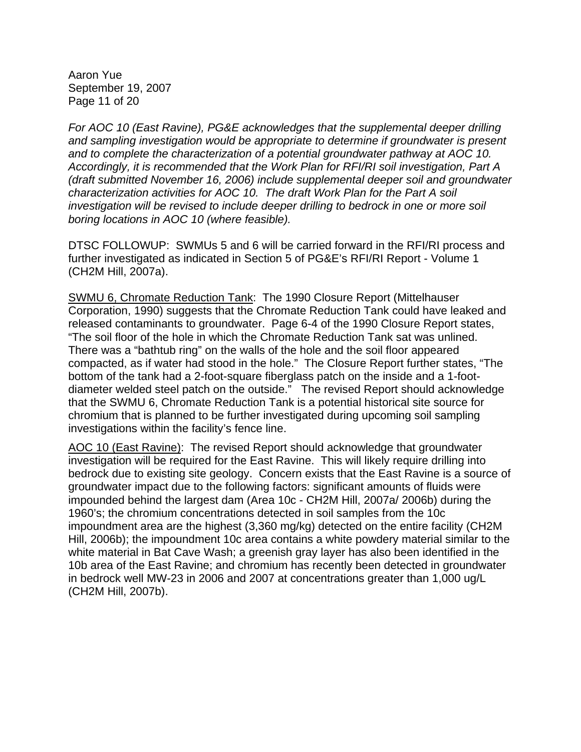Aaron Yue September 19, 2007 Page 11 of 20

*For AOC 10 (East Ravine), PG&E acknowledges that the supplemental deeper drilling and sampling investigation would be appropriate to determine if groundwater is present and to complete the characterization of a potential groundwater pathway at AOC 10. Accordingly, it is recommended that the Work Plan for RFI/RI soil investigation, Part A (draft submitted November 16, 2006) include supplemental deeper soil and groundwater characterization activities for AOC 10. The draft Work Plan for the Part A soil investigation will be revised to include deeper drilling to bedrock in one or more soil boring locations in AOC 10 (where feasible).* 

DTSC FOLLOWUP: SWMUs 5 and 6 will be carried forward in the RFI/RI process and further investigated as indicated in Section 5 of PG&E's RFI/RI Report - Volume 1 (CH2M Hill, 2007a).

SWMU 6, Chromate Reduction Tank: The 1990 Closure Report (Mittelhauser Corporation, 1990) suggests that the Chromate Reduction Tank could have leaked and released contaminants to groundwater. Page 6-4 of the 1990 Closure Report states, "The soil floor of the hole in which the Chromate Reduction Tank sat was unlined. There was a "bathtub ring" on the walls of the hole and the soil floor appeared compacted, as if water had stood in the hole." The Closure Report further states, "The bottom of the tank had a 2-foot-square fiberglass patch on the inside and a 1-footdiameter welded steel patch on the outside." The revised Report should acknowledge that the SWMU 6, Chromate Reduction Tank is a potential historical site source for chromium that is planned to be further investigated during upcoming soil sampling investigations within the facility's fence line.

AOC 10 (East Ravine): The revised Report should acknowledge that groundwater investigation will be required for the East Ravine. This will likely require drilling into bedrock due to existing site geology. Concern exists that the East Ravine is a source of groundwater impact due to the following factors: significant amounts of fluids were impounded behind the largest dam (Area 10c - CH2M Hill, 2007a/ 2006b) during the 1960's; the chromium concentrations detected in soil samples from the 10c impoundment area are the highest (3,360 mg/kg) detected on the entire facility (CH2M Hill, 2006b); the impoundment 10c area contains a white powdery material similar to the white material in Bat Cave Wash; a greenish gray layer has also been identified in the 10b area of the East Ravine; and chromium has recently been detected in groundwater in bedrock well MW-23 in 2006 and 2007 at concentrations greater than 1,000 ug/L (CH2M Hill, 2007b).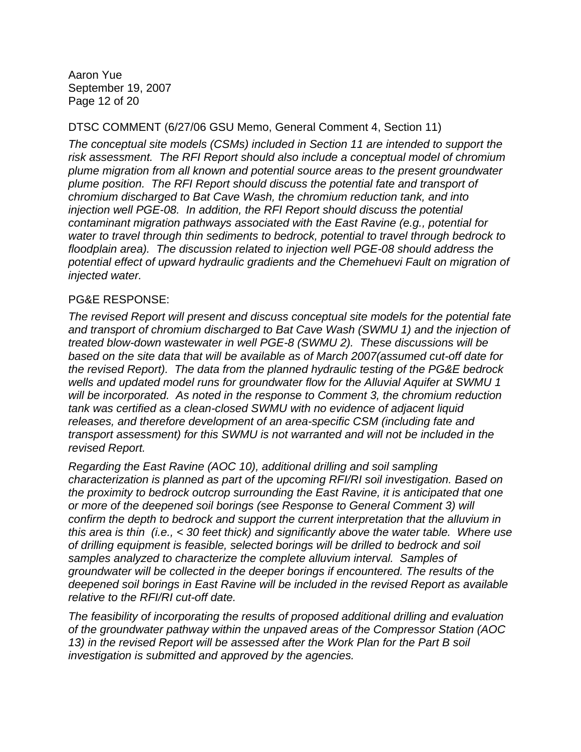Aaron Yue September 19, 2007 Page 12 of 20

### DTSC COMMENT (6/27/06 GSU Memo, General Comment 4, Section 11)

*The conceptual site models (CSMs) included in Section 11 are intended to support the risk assessment. The RFI Report should also include a conceptual model of chromium plume migration from all known and potential source areas to the present groundwater plume position. The RFI Report should discuss the potential fate and transport of chromium discharged to Bat Cave Wash, the chromium reduction tank, and into injection well PGE-08. In addition, the RFI Report should discuss the potential contaminant migration pathways associated with the East Ravine (e.g., potential for water to travel through thin sediments to bedrock, potential to travel through bedrock to floodplain area). The discussion related to injection well PGE-08 should address the potential effect of upward hydraulic gradients and the Chemehuevi Fault on migration of injected water.* 

### PG&E RESPONSE:

*The revised Report will present and discuss conceptual site models for the potential fate*  and transport of chromium discharged to Bat Cave Wash (SWMU 1) and the injection of *treated blow-down wastewater in well PGE-8 (SWMU 2). These discussions will be based on the site data that will be available as of March 2007(assumed cut-off date for the revised Report). The data from the planned hydraulic testing of the PG&E bedrock wells and updated model runs for groundwater flow for the Alluvial Aquifer at SWMU 1 will be incorporated. As noted in the response to Comment 3, the chromium reduction tank was certified as a clean-closed SWMU with no evidence of adjacent liquid releases, and therefore development of an area-specific CSM (including fate and transport assessment) for this SWMU is not warranted and will not be included in the revised Report.* 

*Regarding the East Ravine (AOC 10), additional drilling and soil sampling characterization is planned as part of the upcoming RFI/RI soil investigation. Based on the proximity to bedrock outcrop surrounding the East Ravine, it is anticipated that one or more of the deepened soil borings (see Response to General Comment 3) will confirm the depth to bedrock and support the current interpretation that the alluvium in this area is thin (i.e., < 30 feet thick) and significantly above the water table. Where use of drilling equipment is feasible, selected borings will be drilled to bedrock and soil samples analyzed to characterize the complete alluvium interval. Samples of groundwater will be collected in the deeper borings if encountered. The results of the deepened soil borings in East Ravine will be included in the revised Report as available relative to the RFI/RI cut-off date.* 

*The feasibility of incorporating the results of proposed additional drilling and evaluation of the groundwater pathway within the unpaved areas of the Compressor Station (AOC 13) in the revised Report will be assessed after the Work Plan for the Part B soil investigation is submitted and approved by the agencies.*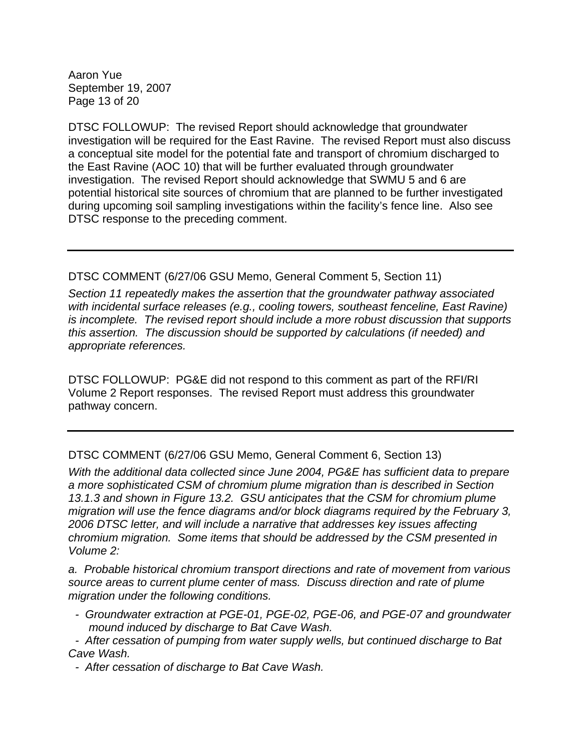Aaron Yue September 19, 2007 Page 13 of 20

DTSC FOLLOWUP: The revised Report should acknowledge that groundwater investigation will be required for the East Ravine. The revised Report must also discuss a conceptual site model for the potential fate and transport of chromium discharged to the East Ravine (AOC 10) that will be further evaluated through groundwater investigation. The revised Report should acknowledge that SWMU 5 and 6 are potential historical site sources of chromium that are planned to be further investigated during upcoming soil sampling investigations within the facility's fence line. Also see DTSC response to the preceding comment.

## DTSC COMMENT (6/27/06 GSU Memo, General Comment 5, Section 11)

*Section 11 repeatedly makes the assertion that the groundwater pathway associated with incidental surface releases (e.g., cooling towers, southeast fenceline, East Ravine) is incomplete. The revised report should include a more robust discussion that supports this assertion. The discussion should be supported by calculations (if needed) and appropriate references.* 

DTSC FOLLOWUP: PG&E did not respond to this comment as part of the RFI/RI Volume 2 Report responses. The revised Report must address this groundwater pathway concern.

DTSC COMMENT (6/27/06 GSU Memo, General Comment 6, Section 13)

*With the additional data collected since June 2004, PG&E has sufficient data to prepare a more sophisticated CSM of chromium plume migration than is described in Section 13.1.3 and shown in Figure 13.2. GSU anticipates that the CSM for chromium plume migration will use the fence diagrams and/or block diagrams required by the February 3, 2006 DTSC letter, and will include a narrative that addresses key issues affecting chromium migration. Some items that should be addressed by the CSM presented in Volume 2:* 

*a. Probable historical chromium transport directions and rate of movement from various source areas to current plume center of mass. Discuss direction and rate of plume migration under the following conditions.* 

- *Groundwater extraction at PGE-01, PGE-02, PGE-06, and PGE-07 and groundwater mound induced by discharge to Bat Cave Wash.*
- *After cessation of pumping from water supply wells, but continued discharge to Bat Cave Wash.*

*- After cessation of discharge to Bat Cave Wash.*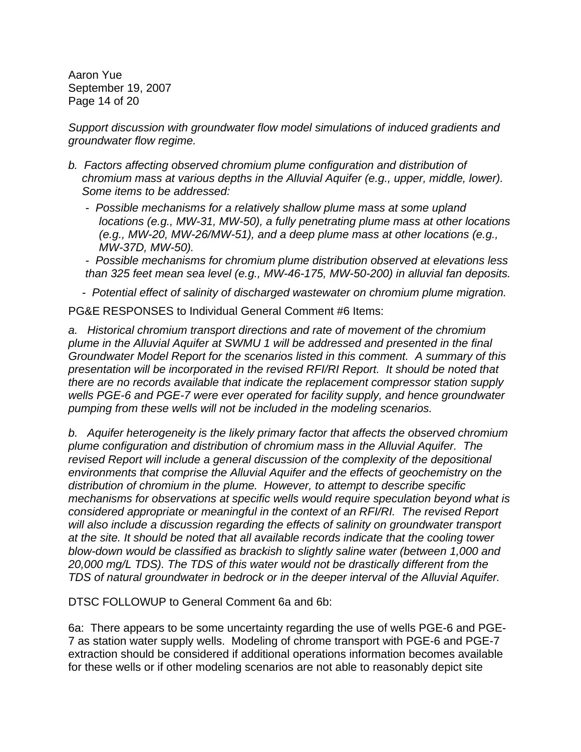Aaron Yue September 19, 2007 Page 14 of 20

*Support discussion with groundwater flow model simulations of induced gradients and groundwater flow regime.* 

- *b. Factors affecting observed chromium plume configuration and distribution of chromium mass at various depths in the Alluvial Aquifer (e.g., upper, middle, lower). Some items to be addressed:* 
	- *Possible mechanisms for a relatively shallow plume mass at some upland locations (e.g., MW-31, MW-50), a fully penetrating plume mass at other locations (e.g., MW-20, MW-26/MW-51), and a deep plume mass at other locations (e.g., MW-37D, MW-50).*

*- Possible mechanisms for chromium plume distribution observed at elevations less than 325 feet mean sea level (e.g., MW-46-175, MW-50-200) in alluvial fan deposits.* 

*- Potential effect of salinity of discharged wastewater on chromium plume migration.* 

PG&E RESPONSES to Individual General Comment #6 Items:

*a. Historical chromium transport directions and rate of movement of the chromium plume in the Alluvial Aquifer at SWMU 1 will be addressed and presented in the final Groundwater Model Report for the scenarios listed in this comment. A summary of this presentation will be incorporated in the revised RFI/RI Report. It should be noted that there are no records available that indicate the replacement compressor station supply wells PGE-6 and PGE-7 were ever operated for facility supply, and hence groundwater pumping from these wells will not be included in the modeling scenarios.* 

*b. Aquifer heterogeneity is the likely primary factor that affects the observed chromium plume configuration and distribution of chromium mass in the Alluvial Aquifer. The revised Report will include a general discussion of the complexity of the depositional environments that comprise the Alluvial Aquifer and the effects of geochemistry on the distribution of chromium in the plume. However, to attempt to describe specific mechanisms for observations at specific wells would require speculation beyond what is considered appropriate or meaningful in the context of an RFI/RI. The revised Report*  will also include a discussion regarding the effects of salinity on groundwater transport *at the site. It should be noted that all available records indicate that the cooling tower blow-down would be classified as brackish to slightly saline water (between 1,000 and 20,000 mg/L TDS). The TDS of this water would not be drastically different from the TDS of natural groundwater in bedrock or in the deeper interval of the Alluvial Aquifer.* 

DTSC FOLLOWUP to General Comment 6a and 6b:

6a: There appears to be some uncertainty regarding the use of wells PGE-6 and PGE-7 as station water supply wells. Modeling of chrome transport with PGE-6 and PGE-7 extraction should be considered if additional operations information becomes available for these wells or if other modeling scenarios are not able to reasonably depict site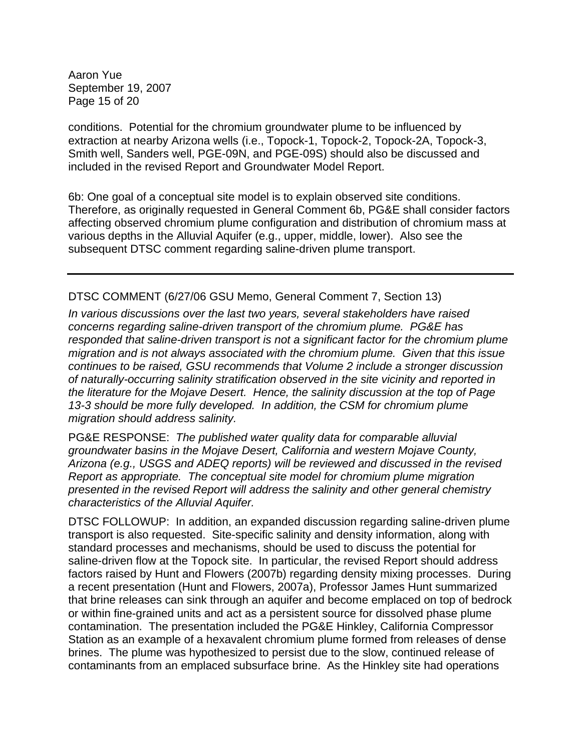Aaron Yue September 19, 2007 Page 15 of 20

conditions. Potential for the chromium groundwater plume to be influenced by extraction at nearby Arizona wells (i.e., Topock-1, Topock-2, Topock-2A, Topock-3, Smith well, Sanders well, PGE-09N, and PGE-09S) should also be discussed and included in the revised Report and Groundwater Model Report.

6b: One goal of a conceptual site model is to explain observed site conditions. Therefore, as originally requested in General Comment 6b, PG&E shall consider factors affecting observed chromium plume configuration and distribution of chromium mass at various depths in the Alluvial Aquifer (e.g., upper, middle, lower). Also see the subsequent DTSC comment regarding saline-driven plume transport.

#### DTSC COMMENT (6/27/06 GSU Memo, General Comment 7, Section 13)

*In various discussions over the last two years, several stakeholders have raised concerns regarding saline-driven transport of the chromium plume. PG&E has responded that saline-driven transport is not a significant factor for the chromium plume migration and is not always associated with the chromium plume. Given that this issue continues to be raised, GSU recommends that Volume 2 include a stronger discussion of naturally-occurring salinity stratification observed in the site vicinity and reported in the literature for the Mojave Desert. Hence, the salinity discussion at the top of Page 13-3 should be more fully developed. In addition, the CSM for chromium plume migration should address salinity.* 

PG&E RESPONSE: *The published water quality data for comparable alluvial groundwater basins in the Mojave Desert, California and western Mojave County, Arizona (e.g., USGS and ADEQ reports) will be reviewed and discussed in the revised Report as appropriate. The conceptual site model for chromium plume migration presented in the revised Report will address the salinity and other general chemistry characteristics of the Alluvial Aquifer.* 

DTSC FOLLOWUP: In addition, an expanded discussion regarding saline-driven plume transport is also requested. Site-specific salinity and density information, along with standard processes and mechanisms, should be used to discuss the potential for saline-driven flow at the Topock site. In particular, the revised Report should address factors raised by Hunt and Flowers (2007b) regarding density mixing processes. During a recent presentation (Hunt and Flowers, 2007a), Professor James Hunt summarized that brine releases can sink through an aquifer and become emplaced on top of bedrock or within fine-grained units and act as a persistent source for dissolved phase plume contamination. The presentation included the PG&E Hinkley, California Compressor Station as an example of a hexavalent chromium plume formed from releases of dense brines. The plume was hypothesized to persist due to the slow, continued release of contaminants from an emplaced subsurface brine. As the Hinkley site had operations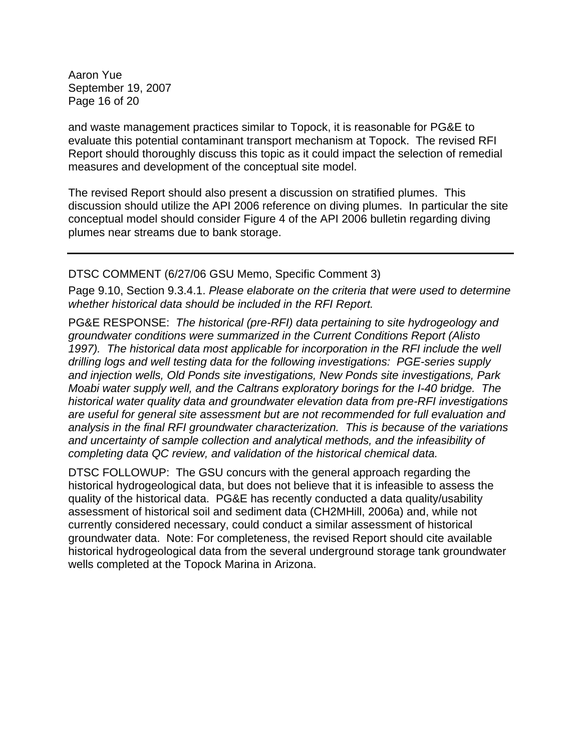Aaron Yue September 19, 2007 Page 16 of 20

and waste management practices similar to Topock, it is reasonable for PG&E to evaluate this potential contaminant transport mechanism at Topock. The revised RFI Report should thoroughly discuss this topic as it could impact the selection of remedial measures and development of the conceptual site model.

The revised Report should also present a discussion on stratified plumes. This discussion should utilize the API 2006 reference on diving plumes. In particular the site conceptual model should consider Figure 4 of the API 2006 bulletin regarding diving plumes near streams due to bank storage.

### DTSC COMMENT (6/27/06 GSU Memo, Specific Comment 3)

Page 9.10, Section 9.3.4.1. *Please elaborate on the criteria that were used to determine whether historical data should be included in the RFI Report.*

PG&E RESPONSE: *The historical (pre-RFI) data pertaining to site hydrogeology and groundwater conditions were summarized in the Current Conditions Report (Alisto*  1997). The historical data most applicable for incorporation in the RFI include the well *drilling logs and well testing data for the following investigations: PGE-series supply and injection wells, Old Ponds site investigations, New Ponds site investigations, Park Moabi water supply well, and the Caltrans exploratory borings for the I-40 bridge. The historical water quality data and groundwater elevation data from pre-RFI investigations are useful for general site assessment but are not recommended for full evaluation and analysis in the final RFI groundwater characterization. This is because of the variations and uncertainty of sample collection and analytical methods, and the infeasibility of completing data QC review, and validation of the historical chemical data.* 

DTSC FOLLOWUP: The GSU concurs with the general approach regarding the historical hydrogeological data, but does not believe that it is infeasible to assess the quality of the historical data. PG&E has recently conducted a data quality/usability assessment of historical soil and sediment data (CH2MHill, 2006a) and, while not currently considered necessary, could conduct a similar assessment of historical groundwater data. Note: For completeness, the revised Report should cite available historical hydrogeological data from the several underground storage tank groundwater wells completed at the Topock Marina in Arizona.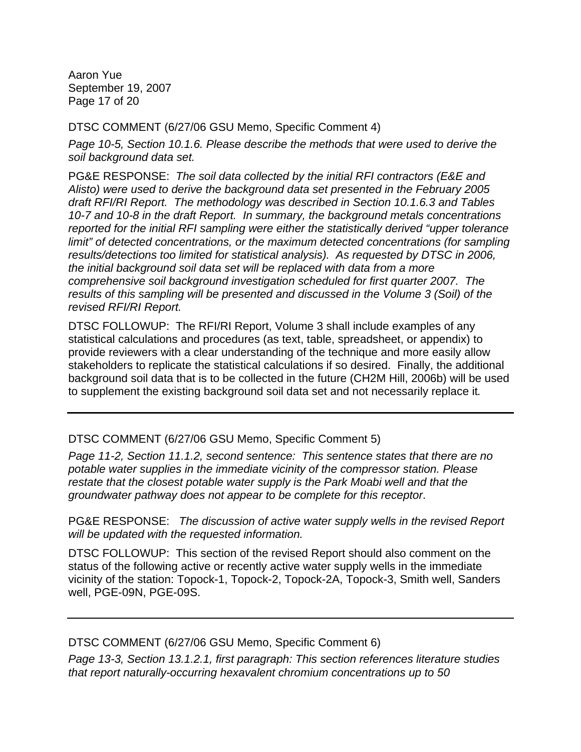Aaron Yue September 19, 2007 Page 17 of 20

DTSC COMMENT (6/27/06 GSU Memo, Specific Comment 4)

*Page 10-5, Section 10.1.6. Please describe the methods that were used to derive the soil background data set.* 

PG&E RESPONSE: *The soil data collected by the initial RFI contractors (E&E and Alisto) were used to derive the background data set presented in the February 2005 draft RFI/RI Report. The methodology was described in Section 10.1.6.3 and Tables 10-7 and 10-8 in the draft Report. In summary, the background metals concentrations reported for the initial RFI sampling were either the statistically derived "upper tolerance limit" of detected concentrations, or the maximum detected concentrations (for sampling results/detections too limited for statistical analysis). As requested by DTSC in 2006, the initial background soil data set will be replaced with data from a more comprehensive soil background investigation scheduled for first quarter 2007. The results of this sampling will be presented and discussed in the Volume 3 (Soil) of the revised RFI/RI Report.*

DTSC FOLLOWUP: The RFI/RI Report, Volume 3 shall include examples of any statistical calculations and procedures (as text, table, spreadsheet, or appendix) to provide reviewers with a clear understanding of the technique and more easily allow stakeholders to replicate the statistical calculations if so desired. Finally, the additional background soil data that is to be collected in the future (CH2M Hill, 2006b) will be used to supplement the existing background soil data set and not necessarily replace it*.* 

DTSC COMMENT (6/27/06 GSU Memo, Specific Comment 5)

*Page 11-2, Section 11.1.2, second sentence: This sentence states that there are no potable water supplies in the immediate vicinity of the compressor station. Please restate that the closest potable water supply is the Park Moabi well and that the groundwater pathway does not appear to be complete for this receptor*.

PG&E RESPONSE: *The discussion of active water supply wells in the revised Report will be updated with the requested information.* 

DTSC FOLLOWUP: This section of the revised Report should also comment on the status of the following active or recently active water supply wells in the immediate vicinity of the station: Topock-1, Topock-2, Topock-2A, Topock-3, Smith well, Sanders well, PGE-09N, PGE-09S.

DTSC COMMENT (6/27/06 GSU Memo, Specific Comment 6)

*Page 13-3, Section 13.1.2.1, first paragraph: This section references literature studies that report naturally-occurring hexavalent chromium concentrations up to 50*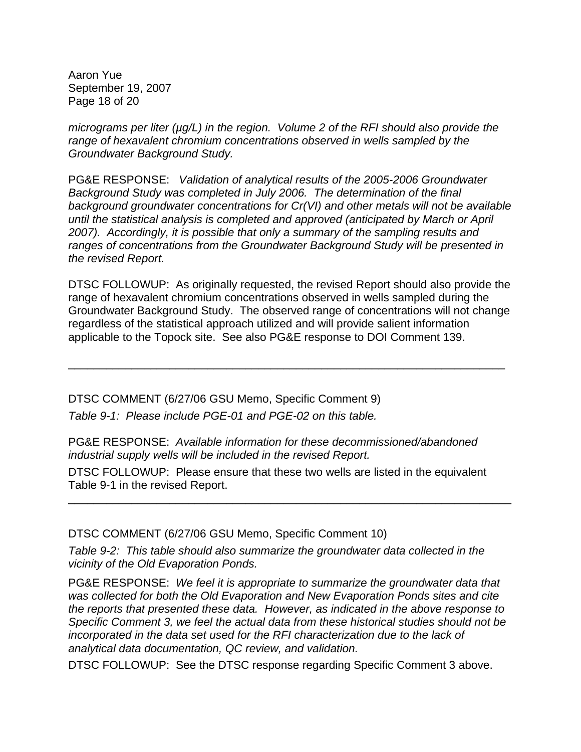Aaron Yue September 19, 2007 Page 18 of 20

*micrograms per liter (µg/L) in the region. Volume 2 of the RFI should also provide the range of hexavalent chromium concentrations observed in wells sampled by the Groundwater Background Study.* 

PG&E RESPONSE: *Validation of analytical results of the 2005-2006 Groundwater Background Study was completed in July 2006. The determination of the final background groundwater concentrations for Cr(VI) and other metals will not be available until the statistical analysis is completed and approved (anticipated by March or April 2007). Accordingly, it is possible that only a summary of the sampling results and ranges of concentrations from the Groundwater Background Study will be presented in the revised Report.* 

DTSC FOLLOWUP: As originally requested, the revised Report should also provide the range of hexavalent chromium concentrations observed in wells sampled during the Groundwater Background Study. The observed range of concentrations will not change regardless of the statistical approach utilized and will provide salient information applicable to the Topock site. See also PG&E response to DOI Comment 139.

\_\_\_\_\_\_\_\_\_\_\_\_\_\_\_\_\_\_\_\_\_\_\_\_\_\_\_\_\_\_\_\_\_\_\_\_\_\_\_\_\_\_\_\_\_\_\_\_\_\_\_\_\_\_\_\_\_\_\_\_\_\_\_\_\_\_\_\_\_

DTSC COMMENT (6/27/06 GSU Memo, Specific Comment 9) *Table 9-1: Please include PGE-01 and PGE-02 on this table.* 

PG&E RESPONSE: *Available information for these decommissioned/abandoned industrial supply wells will be included in the revised Report.*

DTSC FOLLOWUP: Please ensure that these two wells are listed in the equivalent Table 9-1 in the revised Report.

\_\_\_\_\_\_\_\_\_\_\_\_\_\_\_\_\_\_\_\_\_\_\_\_\_\_\_\_\_\_\_\_\_\_\_\_\_\_\_\_\_\_\_\_\_\_\_\_\_\_\_\_\_\_\_\_\_\_\_\_\_\_\_\_\_\_\_\_\_\_

DTSC COMMENT (6/27/06 GSU Memo, Specific Comment 10)

*Table 9-2: This table should also summarize the groundwater data collected in the vicinity of the Old Evaporation Ponds.* 

PG&E RESPONSE: *We feel it is appropriate to summarize the groundwater data that was collected for both the Old Evaporation and New Evaporation Ponds sites and cite the reports that presented these data. However, as indicated in the above response to Specific Comment 3, we feel the actual data from these historical studies should not be incorporated in the data set used for the RFI characterization due to the lack of analytical data documentation, QC review, and validation.* 

DTSC FOLLOWUP: See the DTSC response regarding Specific Comment 3 above.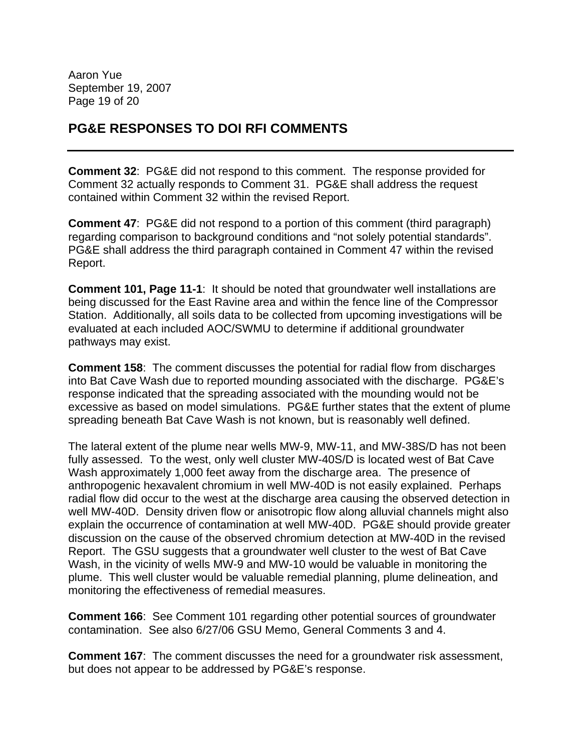Aaron Yue September 19, 2007 Page 19 of 20

# **PG&E RESPONSES TO DOI RFI COMMENTS**

**Comment 32**: PG&E did not respond to this comment. The response provided for Comment 32 actually responds to Comment 31. PG&E shall address the request contained within Comment 32 within the revised Report.

**Comment 47**: PG&E did not respond to a portion of this comment (third paragraph) regarding comparison to background conditions and "not solely potential standards". PG&E shall address the third paragraph contained in Comment 47 within the revised Report.

**Comment 101, Page 11-1**: It should be noted that groundwater well installations are being discussed for the East Ravine area and within the fence line of the Compressor Station. Additionally, all soils data to be collected from upcoming investigations will be evaluated at each included AOC/SWMU to determine if additional groundwater pathways may exist.

**Comment 158**: The comment discusses the potential for radial flow from discharges into Bat Cave Wash due to reported mounding associated with the discharge. PG&E's response indicated that the spreading associated with the mounding would not be excessive as based on model simulations. PG&E further states that the extent of plume spreading beneath Bat Cave Wash is not known, but is reasonably well defined.

The lateral extent of the plume near wells MW-9, MW-11, and MW-38S/D has not been fully assessed. To the west, only well cluster MW-40S/D is located west of Bat Cave Wash approximately 1,000 feet away from the discharge area. The presence of anthropogenic hexavalent chromium in well MW-40D is not easily explained. Perhaps radial flow did occur to the west at the discharge area causing the observed detection in well MW-40D. Density driven flow or anisotropic flow along alluvial channels might also explain the occurrence of contamination at well MW-40D. PG&E should provide greater discussion on the cause of the observed chromium detection at MW-40D in the revised Report. The GSU suggests that a groundwater well cluster to the west of Bat Cave Wash, in the vicinity of wells MW-9 and MW-10 would be valuable in monitoring the plume. This well cluster would be valuable remedial planning, plume delineation, and monitoring the effectiveness of remedial measures.

**Comment 166**: See Comment 101 regarding other potential sources of groundwater contamination. See also 6/27/06 GSU Memo, General Comments 3 and 4.

**Comment 167**: The comment discusses the need for a groundwater risk assessment, but does not appear to be addressed by PG&E's response.